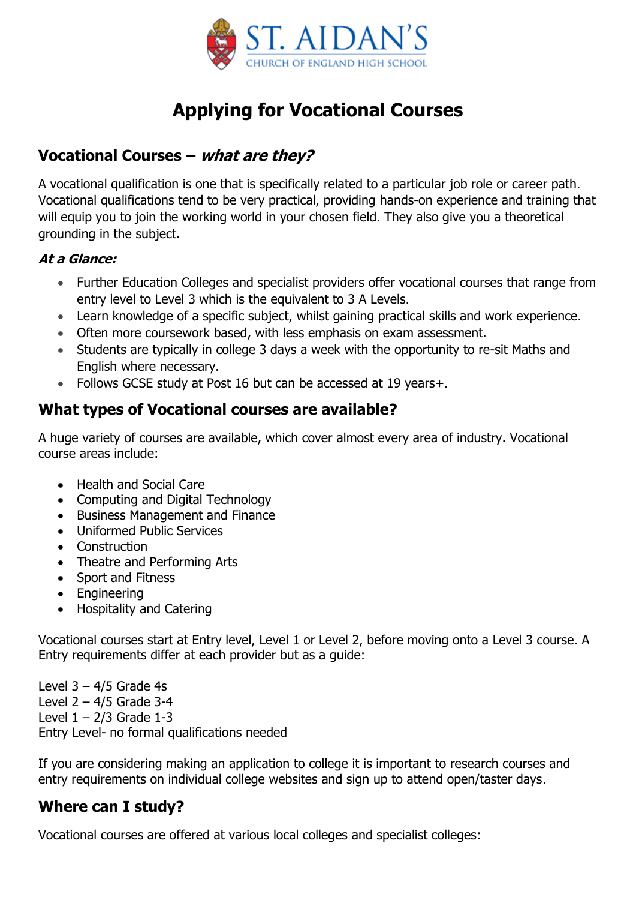

# **Applying for Vocational Courses**

### **Vocational Courses – what are they?**

A vocational qualification is one that is specifically related to a particular job role or career path. Vocational qualifications tend to be very practical, providing hands-on experience and training that will equip you to join the working world in your chosen field. They also give you a theoretical grounding in the subject.

#### **At a Glance:**

- Further Education Colleges and specialist providers offer vocational courses that range from entry level to Level 3 which is the equivalent to 3 A Levels.
- Learn knowledge of a specific subject, whilst gaining practical skills and work experience.
- Often more coursework based, with less emphasis on exam assessment.
- Students are typically in college 3 days a week with the opportunity to re-sit Maths and English where necessary.
- Follows GCSE study at Post 16 but can be accessed at 19 years+.

### **What types of Vocational courses are available?**

A huge variety of courses are available, which cover almost every area of industry. Vocational course areas include:

- Health and Social Care
- Computing and Digital Technology
- Business Management and Finance
- Uniformed Public Services
- Construction
- Theatre and Performing Arts
- Sport and Fitness
- Engineering
- Hospitality and Catering

Vocational courses start at Entry level, Level 1 or Level 2, before moving onto a Level 3 course. A Entry requirements differ at each provider but as a guide:

Level  $3 - 4/5$  Grade 4s Level  $2 - 4/5$  Grade  $3-4$ Level  $1 - 2/3$  Grade 1-3 Entry Level- no formal qualifications needed

If you are considering making an application to college it is important to research courses and entry requirements on individual college websites and sign up to attend open/taster days.

## **Where can I study?**

Vocational courses are offered at various local colleges and specialist colleges: